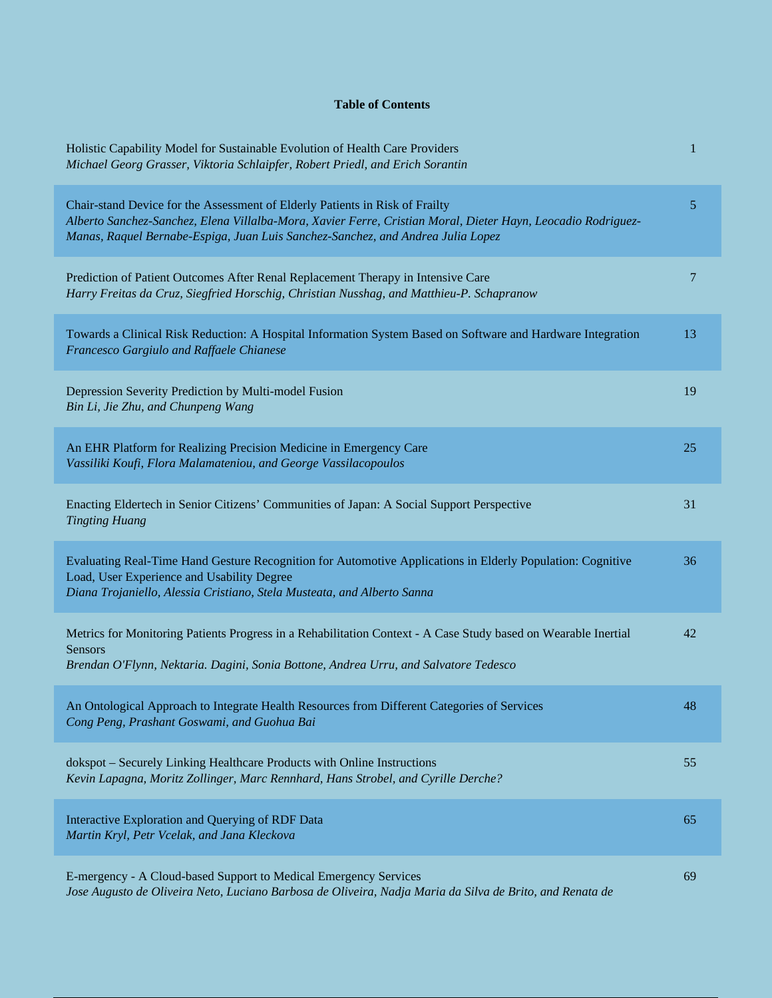## **Table of Contents**

| Holistic Capability Model for Sustainable Evolution of Health Care Providers<br>Michael Georg Grasser, Viktoria Schlaipfer, Robert Priedl, and Erich Sorantin                                                                                                                   | 1  |
|---------------------------------------------------------------------------------------------------------------------------------------------------------------------------------------------------------------------------------------------------------------------------------|----|
| Chair-stand Device for the Assessment of Elderly Patients in Risk of Frailty<br>Alberto Sanchez-Sanchez, Elena Villalba-Mora, Xavier Ferre, Cristian Moral, Dieter Hayn, Leocadio Rodriguez-<br>Manas, Raquel Bernabe-Espiga, Juan Luis Sanchez-Sanchez, and Andrea Julia Lopez | 5  |
| Prediction of Patient Outcomes After Renal Replacement Therapy in Intensive Care<br>Harry Freitas da Cruz, Siegfried Horschig, Christian Nusshag, and Matthieu-P. Schapranow                                                                                                    | 7  |
| Towards a Clinical Risk Reduction: A Hospital Information System Based on Software and Hardware Integration<br>Francesco Gargiulo and Raffaele Chianese                                                                                                                         | 13 |
| Depression Severity Prediction by Multi-model Fusion<br>Bin Li, Jie Zhu, and Chunpeng Wang                                                                                                                                                                                      | 19 |
| An EHR Platform for Realizing Precision Medicine in Emergency Care<br>Vassiliki Koufi, Flora Malamateniou, and George Vassilacopoulos                                                                                                                                           | 25 |
| Enacting Eldertech in Senior Citizens' Communities of Japan: A Social Support Perspective<br><b>Tingting Huang</b>                                                                                                                                                              | 31 |
| Evaluating Real-Time Hand Gesture Recognition for Automotive Applications in Elderly Population: Cognitive<br>Load, User Experience and Usability Degree<br>Diana Trojaniello, Alessia Cristiano, Stela Musteata, and Alberto Sanna                                             | 36 |
| Metrics for Monitoring Patients Progress in a Rehabilitation Context - A Case Study based on Wearable Inertial<br><b>Sensors</b><br>Brendan O'Flynn, Nektaria. Dagini, Sonia Bottone, Andrea Urru, and Salvatore Tedesco                                                        | 42 |
| An Ontological Approach to Integrate Health Resources from Different Categories of Services<br>Cong Peng, Prashant Goswami, and Guohua Bai                                                                                                                                      | 48 |
| dokspot - Securely Linking Healthcare Products with Online Instructions<br>Kevin Lapagna, Moritz Zollinger, Marc Rennhard, Hans Strobel, and Cyrille Derche?                                                                                                                    | 55 |
| Interactive Exploration and Querying of RDF Data<br>Martin Kryl, Petr Vcelak, and Jana Kleckova                                                                                                                                                                                 | 65 |
| E-mergency - A Cloud-based Support to Medical Emergency Services<br>Jose Augusto de Oliveira Neto, Luciano Barbosa de Oliveira, Nadja Maria da Silva de Brito, and Renata de                                                                                                    | 69 |